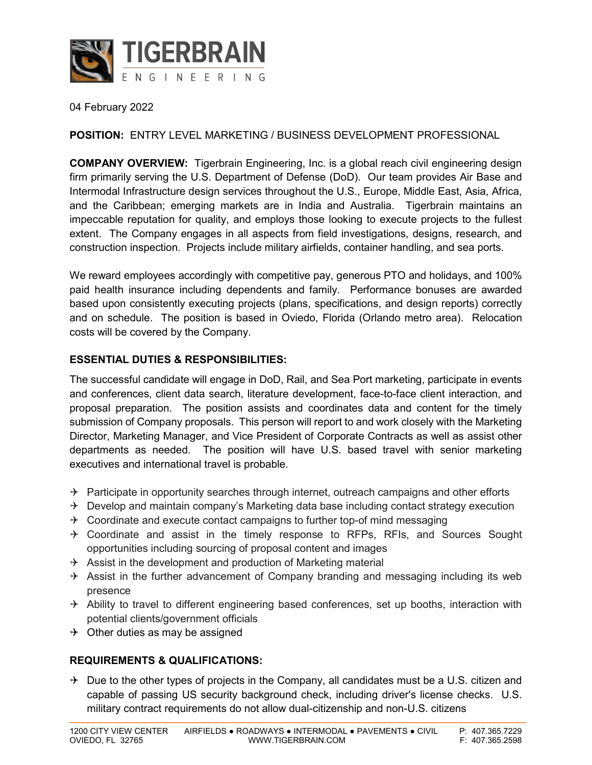

04 February 2022

## **POSITION:** ENTRY LEVEL MARKETING / BUSINESS DEVELOPMENT PROFESSIONAL

**COMPANY OVERVIEW:** Tigerbrain Engineering, Inc. is a global reach civil engineering design firm primarily serving the U.S. Department of Defense (DoD). Our team provides Air Base and Intermodal Infrastructure design services throughout the U.S., Europe, Middle East, Asia, Africa, and the Caribbean; emerging markets are in India and Australia. Tigerbrain maintains an impeccable reputation for quality, and employs those looking to execute projects to the fullest extent. The Company engages in all aspects from field investigations, designs, research, and construction inspection. Projects include military airfields, container handling, and sea ports.

We reward employees accordingly with competitive pay, generous PTO and holidays, and 100% paid health insurance including dependents and family. Performance bonuses are awarded based upon consistently executing projects (plans, specifications, and design reports) correctly and on schedule. The position is based in Oviedo, Florida (Orlando metro area). Relocation costs will be covered by the Company.

### **ESSENTIAL DUTIES & RESPONSIBILITIES:**

The successful candidate will engage in DoD, Rail, and Sea Port marketing, participate in events and conferences, client data search, literature development, face-to-face client interaction, and proposal preparation. The position assists and coordinates data and content for the timely submission of Company proposals. This person will report to and work closely with the Marketing Director, Marketing Manager, and Vice President of Corporate Contracts as well as assist other departments as needed. The position will have U.S. based travel with senior marketing executives and international travel is probable.

- $\rightarrow$  Participate in opportunity searches through internet, outreach campaigns and other efforts
- $\rightarrow$  Develop and maintain company's Marketing data base including contact strategy execution
- $\rightarrow$  Coordinate and execute contact campaigns to further top-of mind messaging
- $\rightarrow$  Coordinate and assist in the timely response to RFPs, RFIs, and Sources Sought opportunities including sourcing of proposal content and images
- $\rightarrow$  Assist in the development and production of Marketing material
- $\rightarrow$  Assist in the further advancement of Company branding and messaging including its web presence
- $\rightarrow$  Ability to travel to different engineering based conferences, set up booths, interaction with potential clients/government officials
- $\rightarrow$  Other duties as may be assigned

### **REQUIREMENTS & QUALIFICATIONS:**

 $\rightarrow$  Due to the other types of projects in the Company, all candidates must be a U.S. citizen and capable of passing US security background check, including driver's license checks. U.S. military contract requirements do not allow dual-citizenship and non-U.S. citizens